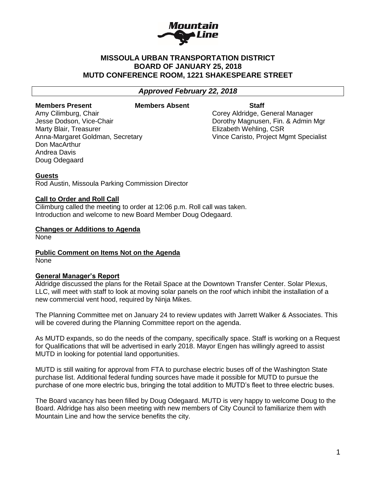

# **MISSOULA URBAN TRANSPORTATION DISTRICT BOARD OF JANUARY 25, 2018 MUTD CONFERENCE ROOM, 1221 SHAKESPEARE STREET**

# *Approved February 22, 2018*

#### **Members Present Members Absent Staff**

Amy Cilimburg, Chair Chair Corey Aldridge, General Manager Marty Blair, Treasurer **Elizabeth Wehling, CSR** Don MacArthur Andrea Davis Doug Odegaard

Jesse Dodson, Vice-Chair **Domestian Constructs** Dorothy Magnusen, Fin. & Admin Mgr Anna-Margaret Goldman, Secretary Vince Caristo, Project Mgmt Specialist

### **Guests**

Rod Austin, Missoula Parking Commission Director

#### **Call to Order and Roll Call**

Cilimburg called the meeting to order at 12:06 p.m. Roll call was taken. Introduction and welcome to new Board Member Doug Odegaard.

#### **Changes or Additions to Agenda**

None

**Public Comment on Items Not on the Agenda**

None

#### **General Manager's Report**

Aldridge discussed the plans for the Retail Space at the Downtown Transfer Center. Solar Plexus, LLC, will meet with staff to look at moving solar panels on the roof which inhibit the installation of a new commercial vent hood, required by Ninja Mikes.

The Planning Committee met on January 24 to review updates with Jarrett Walker & Associates. This will be covered during the Planning Committee report on the agenda.

As MUTD expands, so do the needs of the company, specifically space. Staff is working on a Request for Qualifications that will be advertised in early 2018. Mayor Engen has willingly agreed to assist MUTD in looking for potential land opportunities.

MUTD is still waiting for approval from FTA to purchase electric buses off of the Washington State purchase list. Additional federal funding sources have made it possible for MUTD to pursue the purchase of one more electric bus, bringing the total addition to MUTD's fleet to three electric buses.

The Board vacancy has been filled by Doug Odegaard. MUTD is very happy to welcome Doug to the Board. Aldridge has also been meeting with new members of City Council to familiarize them with Mountain Line and how the service benefits the city.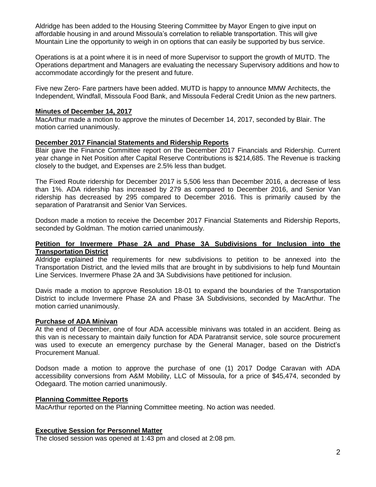Aldridge has been added to the Housing Steering Committee by Mayor Engen to give input on affordable housing in and around Missoula's correlation to reliable transportation. This will give Mountain Line the opportunity to weigh in on options that can easily be supported by bus service.

Operations is at a point where it is in need of more Supervisor to support the growth of MUTD. The Operations department and Managers are evaluating the necessary Supervisory additions and how to accommodate accordingly for the present and future.

Five new Zero- Fare partners have been added. MUTD is happy to announce MMW Architects, the Independent, Windfall, Missoula Food Bank, and Missoula Federal Credit Union as the new partners.

### **Minutes of December 14, 2017**

MacArthur made a motion to approve the minutes of December 14, 2017, seconded by Blair. The motion carried unanimously.

### **December 2017 Financial Statements and Ridership Reports**

Blair gave the Finance Committee report on the December 2017 Financials and Ridership. Current year change in Net Position after Capital Reserve Contributions is \$214,685. The Revenue is tracking closely to the budget, and Expenses are 2.5% less than budget.

The Fixed Route ridership for December 2017 is 5,506 less than December 2016, a decrease of less than 1%. ADA ridership has increased by 279 as compared to December 2016, and Senior Van ridership has decreased by 295 compared to December 2016. This is primarily caused by the separation of Paratransit and Senior Van Services.

Dodson made a motion to receive the December 2017 Financial Statements and Ridership Reports, seconded by Goldman. The motion carried unanimously.

### **Petition for Invermere Phase 2A and Phase 3A Subdivisions for Inclusion into the Transportation District**

Aldridge explained the requirements for new subdivisions to petition to be annexed into the Transportation District, and the levied mills that are brought in by subdivisions to help fund Mountain Line Services. Invermere Phase 2A and 3A Subdivisions have petitioned for inclusion.

Davis made a motion to approve Resolution 18-01 to expand the boundaries of the Transportation District to include Invermere Phase 2A and Phase 3A Subdivisions, seconded by MacArthur. The motion carried unanimously.

# **Purchase of ADA Minivan**

At the end of December, one of four ADA accessible minivans was totaled in an accident. Being as this van is necessary to maintain daily function for ADA Paratransit service, sole source procurement was used to execute an emergency purchase by the General Manager, based on the District's Procurement Manual.

Dodson made a motion to approve the purchase of one (1) 2017 Dodge Caravan with ADA accessibility conversions from A&M Mobility, LLC of Missoula, for a price of \$45,474, seconded by Odegaard. The motion carried unanimously.

# **Planning Committee Reports**

MacArthur reported on the Planning Committee meeting. No action was needed.

# **Executive Session for Personnel Matter**

The closed session was opened at 1:43 pm and closed at 2:08 pm.